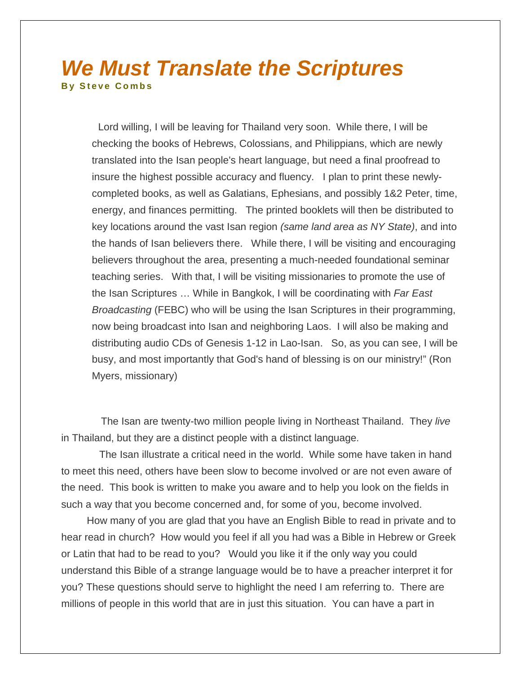## *We Must Translate the Scriptures* **By Steve Combs**

Lord willing, I will be leaving for Thailand very soon. While there, I will be checking the books of Hebrews, Colossians, and Philippians, which are newly translated into the Isan people's heart language, but need a final proofread to insure the highest possible accuracy and fluency. I plan to print these newlycompleted books, as well as Galatians, Ephesians, and possibly 1&2 Peter, time, energy, and finances permitting. The printed booklets will then be distributed to key locations around the vast Isan region *(same land area as NY State)*, and into the hands of Isan believers there. While there, I will be visiting and encouraging believers throughout the area, presenting a much-needed foundational seminar teaching series. With that, I will be visiting missionaries to promote the use of the Isan Scriptures … While in Bangkok, I will be coordinating with *Far East Broadcasting* (FEBC) who will be using the Isan Scriptures in their programming, now being broadcast into Isan and neighboring Laos. I will also be making and distributing audio CDs of Genesis 1-12 in Lao-Isan. So, as you can see, I will be busy, and most importantly that God's hand of blessing is on our ministry!" (Ron Myers, missionary)

The Isan are twenty-two million people living in Northeast Thailand. They *live* in Thailand, but they are a distinct people with a distinct language.

The Isan illustrate a critical need in the world. While some have taken in hand to meet this need, others have been slow to become involved or are not even aware of the need. This book is written to make you aware and to help you look on the fields in such a way that you become concerned and, for some of you, become involved.

How many of you are glad that you have an English Bible to read in private and to hear read in church? How would you feel if all you had was a Bible in Hebrew or Greek or Latin that had to be read to you? Would you like it if the only way you could understand this Bible of a strange language would be to have a preacher interpret it for you? These questions should serve to highlight the need I am referring to. There are millions of people in this world that are in just this situation. You can have a part in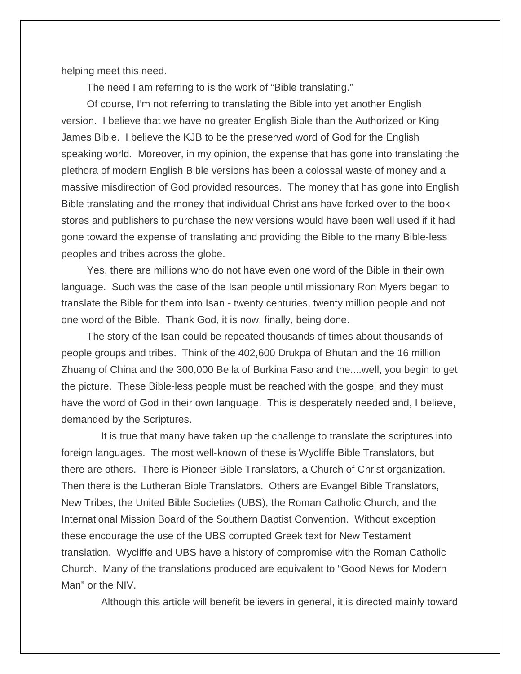helping meet this need.

The need I am referring to is the work of "Bible translating."

Of course, I'm not referring to translating the Bible into yet another English version. I believe that we have no greater English Bible than the Authorized or King James Bible. I believe the KJB to be the preserved word of God for the English speaking world. Moreover, in my opinion, the expense that has gone into translating the plethora of modern English Bible versions has been a colossal waste of money and a massive misdirection of God provided resources. The money that has gone into English Bible translating and the money that individual Christians have forked over to the book stores and publishers to purchase the new versions would have been well used if it had gone toward the expense of translating and providing the Bible to the many Bible-less peoples and tribes across the globe.

Yes, there are millions who do not have even one word of the Bible in their own language. Such was the case of the Isan people until missionary Ron Myers began to translate the Bible for them into Isan - twenty centuries, twenty million people and not one word of the Bible. Thank God, it is now, finally, being done.

The story of the Isan could be repeated thousands of times about thousands of people groups and tribes. Think of the 402,600 Drukpa of Bhutan and the 16 million Zhuang of China and the 300,000 Bella of Burkina Faso and the....well, you begin to get the picture. These Bible-less people must be reached with the gospel and they must have the word of God in their own language. This is desperately needed and, I believe, demanded by the Scriptures.

It is true that many have taken up the challenge to translate the scriptures into foreign languages. The most well-known of these is Wycliffe Bible Translators, but there are others. There is Pioneer Bible Translators, a Church of Christ organization. Then there is the Lutheran Bible Translators. Others are Evangel Bible Translators, New Tribes, the United Bible Societies (UBS), the Roman Catholic Church, and the International Mission Board of the Southern Baptist Convention. Without exception these encourage the use of the UBS corrupted Greek text for New Testament translation. Wycliffe and UBS have a history of compromise with the Roman Catholic Church. Many of the translations produced are equivalent to "Good News for Modern Man" or the NIV.

Although this article will benefit believers in general, it is directed mainly toward